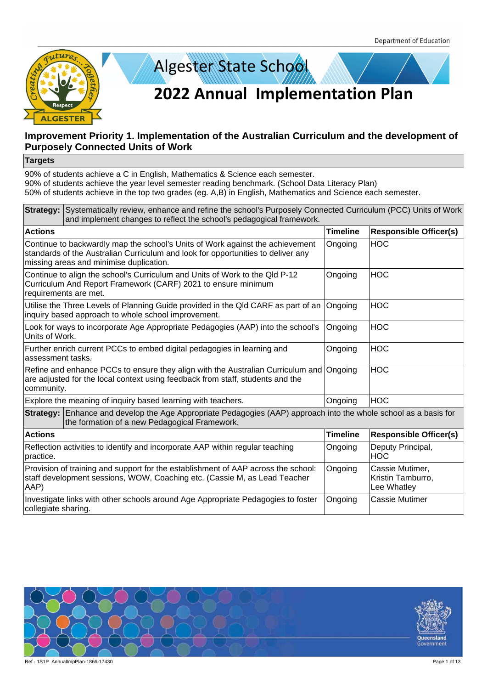



#### **Targets**

| Strategy: Systematically review, enhance and refine the school's Purposely Connected Curriculum (PCC) Units of Work<br>and implement changes to reflect the school's pedagogical framework.                  |                 |                                                     |  |
|--------------------------------------------------------------------------------------------------------------------------------------------------------------------------------------------------------------|-----------------|-----------------------------------------------------|--|
| <b>Actions</b>                                                                                                                                                                                               | <b>Timeline</b> | <b>Responsible Officer(s)</b>                       |  |
| Continue to backwardly map the school's Units of Work against the achievement<br>standards of the Australian Curriculum and look for opportunities to deliver any<br>missing areas and minimise duplication. | Ongoing         | <b>HOC</b>                                          |  |
| Continue to align the school's Curriculum and Units of Work to the Qld P-12<br>Curriculum And Report Framework (CARF) 2021 to ensure minimum<br>requirements are met.                                        | Ongoing         | <b>HOC</b>                                          |  |
| Utilise the Three Levels of Planning Guide provided in the QId CARF as part of an<br>inquiry based approach to whole school improvement.                                                                     | Ongoing         | <b>HOC</b>                                          |  |
| Look for ways to incorporate Age Appropriate Pedagogies (AAP) into the school's<br>Units of Work.                                                                                                            | Ongoing         | <b>HOC</b>                                          |  |
| Further enrich current PCCs to embed digital pedagogies in learning and<br>assessment tasks.                                                                                                                 | Ongoing         | <b>HOC</b>                                          |  |
| Refine and enhance PCCs to ensure they align with the Australian Curriculum and<br>are adjusted for the local context using feedback from staff, students and the<br>community.                              | Ongoing         | <b>HOC</b>                                          |  |
| Explore the meaning of inquiry based learning with teachers.                                                                                                                                                 | Ongoing         | <b>HOC</b>                                          |  |
| Strategy: Enhance and develop the Age Appropriate Pedagogies (AAP) approach into the whole school as a basis for<br>the formation of a new Pedagogical Framework.                                            |                 |                                                     |  |
| <b>Actions</b>                                                                                                                                                                                               | <b>Timeline</b> | <b>Responsible Officer(s)</b>                       |  |
| Reflection activities to identify and incorporate AAP within regular teaching<br>practice.                                                                                                                   | Ongoing         | Deputy Principal,<br><b>HOC</b>                     |  |
| Provision of training and support for the establishment of AAP across the school:<br>staff development sessions, WOW, Coaching etc. (Cassie M, as Lead Teacher<br>AAP)                                       | Ongoing         | Cassie Mutimer,<br>Kristin Tamburro,<br>Lee Whatley |  |
| Investigate links with other schools around Age Appropriate Pedagogies to foster<br>collegiate sharing.                                                                                                      | Ongoing         | <b>Cassie Mutimer</b>                               |  |

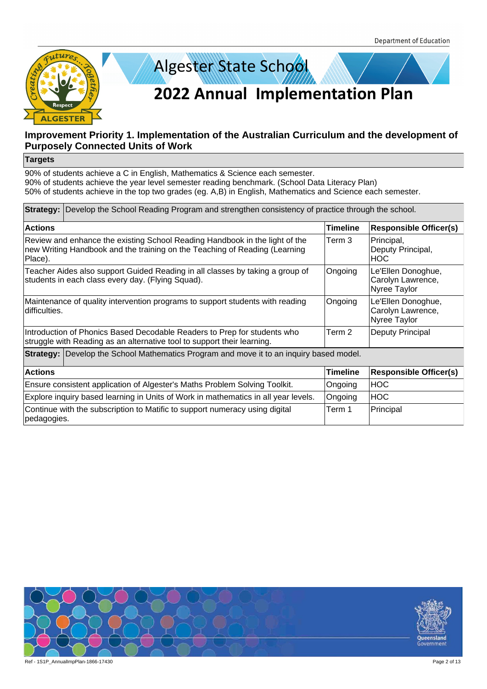



#### **Targets**

| <b>Strategy:</b> Develop the School Reading Program and strengthen consistency of practice through the school.                                                       |                 |                                                         |  |
|----------------------------------------------------------------------------------------------------------------------------------------------------------------------|-----------------|---------------------------------------------------------|--|
| <b>Actions</b>                                                                                                                                                       | <b>Timeline</b> | <b>Responsible Officer(s)</b>                           |  |
| Review and enhance the existing School Reading Handbook in the light of the<br>new Writing Handbook and the training on the Teaching of Reading (Learning<br>Place). | Term 3          | Principal,<br>Deputy Principal,<br><b>HOC</b>           |  |
| Teacher Aides also support Guided Reading in all classes by taking a group of<br>students in each class every day. (Flying Squad).                                   | Ongoing         | Le'Ellen Donoghue,<br>Carolyn Lawrence,<br>Nyree Taylor |  |
| Maintenance of quality intervention programs to support students with reading<br>difficulties.                                                                       | Ongoing         | Le'Ellen Donoghue,<br>Carolyn Lawrence,<br>Nyree Taylor |  |
| Introduction of Phonics Based Decodable Readers to Prep for students who<br>struggle with Reading as an alternative tool to support their learning.                  | Term 2          | Deputy Principal                                        |  |
| <b>Strategy:</b> Develop the School Mathematics Program and move it to an inquiry based model.                                                                       |                 |                                                         |  |
| <b>Actions</b>                                                                                                                                                       | Timeline        | <b>Responsible Officer(s)</b>                           |  |
| Ensure consistent application of Algester's Maths Problem Solving Toolkit.                                                                                           | Ongoing         | <b>HOC</b>                                              |  |
| Explore inquiry based learning in Units of Work in mathematics in all year levels.                                                                                   | Ongoing         | <b>HOC</b>                                              |  |
| Continue with the subscription to Matific to support numeracy using digital<br>pedagogies.                                                                           | Term 1          | Principal                                               |  |

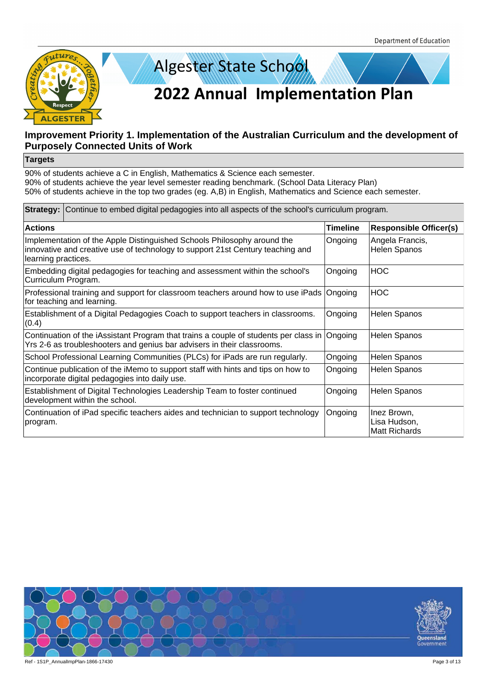



#### **Targets**

| <b>Strategy:</b> Continue to embed digital pedagogies into all aspects of the school's curriculum program.                                                                       |          |                                                     |  |
|----------------------------------------------------------------------------------------------------------------------------------------------------------------------------------|----------|-----------------------------------------------------|--|
| <b>Actions</b>                                                                                                                                                                   | Timeline | <b>Responsible Officer(s)</b>                       |  |
| Implementation of the Apple Distinguished Schools Philosophy around the<br>innovative and creative use of technology to support 21st Century teaching and<br>learning practices. | Ongoing  | Angela Francis,<br><b>Helen Spanos</b>              |  |
| Embedding digital pedagogies for teaching and assessment within the school's<br>Curriculum Program.                                                                              | Ongoing  | <b>HOC</b>                                          |  |
| Professional training and support for classroom teachers around how to use iPads<br>for teaching and learning.                                                                   | Ongoing  | <b>HOC</b>                                          |  |
| Establishment of a Digital Pedagogies Coach to support teachers in classrooms.<br>(0.4)                                                                                          | Ongoing  | Helen Spanos                                        |  |
| Continuation of the iAssistant Program that trains a couple of students per class in<br>Yrs 2-6 as troubleshooters and genius bar advisers in their classrooms.                  | Ongoing  | <b>Helen Spanos</b>                                 |  |
| School Professional Learning Communities (PLCs) for iPads are run regularly.                                                                                                     | Ongoing  | Helen Spanos                                        |  |
| Continue publication of the iMemo to support staff with hints and tips on how to<br>incorporate digital pedagogies into daily use.                                               | Ongoing  | Helen Spanos                                        |  |
| Establishment of Digital Technologies Leadership Team to foster continued<br>development within the school.                                                                      | Ongoing  | Helen Spanos                                        |  |
| Continuation of iPad specific teachers aides and technician to support technology<br>program.                                                                                    | Ongoing  | Inez Brown,<br>Lisa Hudson,<br><b>Matt Richards</b> |  |

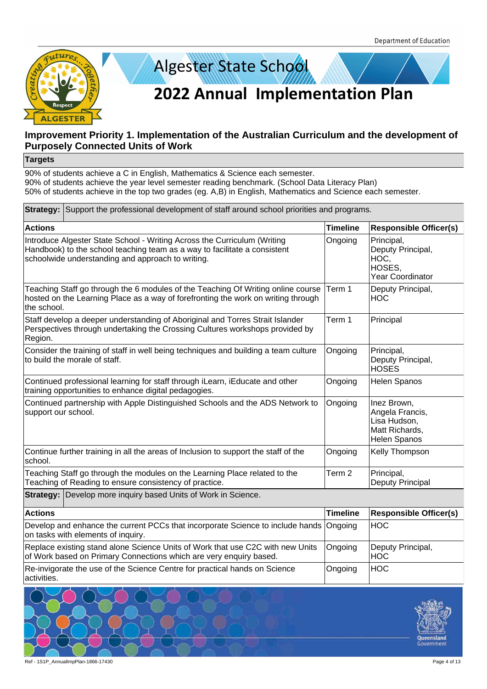



#### **Targets**

| Strategy: Support the professional development of staff around school priorities and programs.                                                                                                             |                   |                                                                                         |  |
|------------------------------------------------------------------------------------------------------------------------------------------------------------------------------------------------------------|-------------------|-----------------------------------------------------------------------------------------|--|
| <b>Actions</b>                                                                                                                                                                                             | <b>Timeline</b>   | <b>Responsible Officer(s)</b>                                                           |  |
| Introduce Algester State School - Writing Across the Curriculum (Writing<br>Handbook) to the school teaching team as a way to facilitate a consistent<br>schoolwide understanding and approach to writing. | Ongoing           | Principal,<br>Deputy Principal,<br>HOC,<br>HOSES,<br>Year Coordinator                   |  |
| Teaching Staff go through the 6 modules of the Teaching Of Writing online course<br>hosted on the Learning Place as a way of forefronting the work on writing through<br>the school.                       | Term 1            | Deputy Principal,<br><b>HOC</b>                                                         |  |
| Staff develop a deeper understanding of Aboriginal and Torres Strait Islander<br>Perspectives through undertaking the Crossing Cultures workshops provided by<br>Region.                                   | Term 1            | Principal                                                                               |  |
| Consider the training of staff in well being techniques and building a team culture<br>to build the morale of staff.                                                                                       | Ongoing           | Principal,<br>Deputy Principal,<br><b>HOSES</b>                                         |  |
| Continued professional learning for staff through iLearn, iEducate and other<br>training opportunities to enhance digital pedagogies.                                                                      | Ongoing           | Helen Spanos                                                                            |  |
| Continued partnership with Apple Distinguished Schools and the ADS Network to<br>support our school.                                                                                                       | Ongoing           | Inez Brown,<br>Angela Francis,<br>Lisa Hudson,<br>Matt Richards,<br><b>Helen Spanos</b> |  |
| Continue further training in all the areas of Inclusion to support the staff of the<br>school.                                                                                                             | Ongoing           | Kelly Thompson                                                                          |  |
| Teaching Staff go through the modules on the Learning Place related to the<br>Teaching of Reading to ensure consistency of practice.                                                                       | Term <sub>2</sub> | Principal,<br>Deputy Principal                                                          |  |
| <b>Strategy:</b> Develop more inquiry based Units of Work in Science.                                                                                                                                      |                   |                                                                                         |  |
| <b>Actions</b>                                                                                                                                                                                             | <b>Timeline</b>   | <b>Responsible Officer(s)</b>                                                           |  |
| Develop and enhance the current PCCs that incorporate Science to include hands<br>on tasks with elements of inquiry.                                                                                       | Ongoing           | <b>HOC</b>                                                                              |  |
| Replace existing stand alone Science Units of Work that use C2C with new Units<br>of Work based on Primary Connections which are very enquiry based.                                                       | Ongoing           | Deputy Principal,<br><b>HOC</b>                                                         |  |
| Re-invigorate the use of the Science Centre for practical hands on Science<br>activities.                                                                                                                  | Ongoing           | <b>HOC</b>                                                                              |  |
| 上丨<br>$\overline{1}$<br>上上<br>$\overline{1}$                                                                                                                                                               |                   |                                                                                         |  |

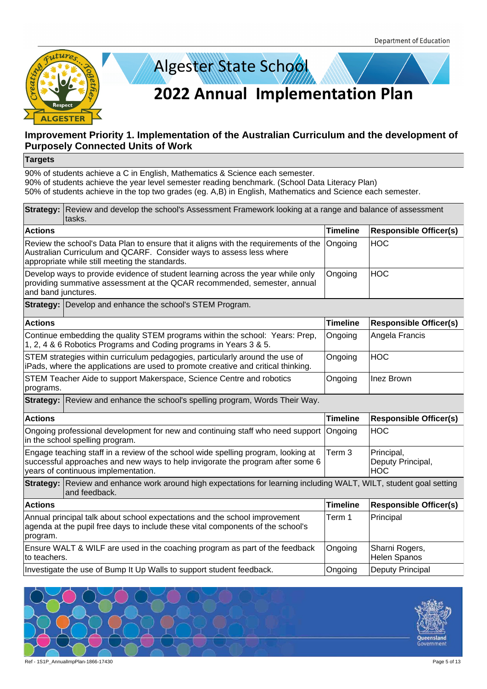



#### **Targets**

|                                                                                                                                                                                                            | Strategy: Review and develop the school's Assessment Framework looking at a range and balance of assessment<br>tasks.                                                                                        |                   |                                               |  |  |
|------------------------------------------------------------------------------------------------------------------------------------------------------------------------------------------------------------|--------------------------------------------------------------------------------------------------------------------------------------------------------------------------------------------------------------|-------------------|-----------------------------------------------|--|--|
| <b>Actions</b>                                                                                                                                                                                             |                                                                                                                                                                                                              | <b>Timeline</b>   | <b>Responsible Officer(s)</b>                 |  |  |
|                                                                                                                                                                                                            | Review the school's Data Plan to ensure that it aligns with the requirements of the<br>Australian Curriculum and QCARF. Consider ways to assess less where<br>appropriate while still meeting the standards. | Ongoing           | <b>HOC</b>                                    |  |  |
| and band junctures.                                                                                                                                                                                        | Develop ways to provide evidence of student learning across the year while only<br>providing summative assessment at the QCAR recommended, semester, annual                                                  | Ongoing           | <b>HOC</b>                                    |  |  |
|                                                                                                                                                                                                            | Strategy: Develop and enhance the school's STEM Program.                                                                                                                                                     |                   |                                               |  |  |
| <b>Actions</b>                                                                                                                                                                                             |                                                                                                                                                                                                              | <b>Timeline</b>   | <b>Responsible Officer(s)</b>                 |  |  |
|                                                                                                                                                                                                            | Continue embedding the quality STEM programs within the school: Years: Prep,<br>1, 2, 4 & 6 Robotics Programs and Coding programs in Years 3 & 5.                                                            | Ongoing           | Angela Francis                                |  |  |
|                                                                                                                                                                                                            | STEM strategies within curriculum pedagogies, particularly around the use of<br>iPads, where the applications are used to promote creative and critical thinking.                                            | Ongoing           | <b>HOC</b>                                    |  |  |
| STEM Teacher Aide to support Makerspace, Science Centre and robotics<br>Ongoing<br>Inez Brown<br>programs.                                                                                                 |                                                                                                                                                                                                              |                   |                                               |  |  |
|                                                                                                                                                                                                            | Strategy: Review and enhance the school's spelling program, Words Their Way.                                                                                                                                 |                   |                                               |  |  |
| <b>Actions</b>                                                                                                                                                                                             |                                                                                                                                                                                                              | <b>Timeline</b>   | <b>Responsible Officer(s)</b>                 |  |  |
|                                                                                                                                                                                                            | Ongoing professional development for new and continuing staff who need support<br>in the school spelling program.                                                                                            | Ongoing           | <b>HOC</b>                                    |  |  |
| Engage teaching staff in a review of the school wide spelling program, looking at<br>successful approaches and new ways to help invigorate the program after some 6<br>years of continuous implementation. |                                                                                                                                                                                                              | Term <sub>3</sub> | Principal,<br>Deputy Principal,<br><b>HOC</b> |  |  |
|                                                                                                                                                                                                            | Strategy: Review and enhance work around high expectations for learning including WALT, WILT, student goal setting<br>and feedback.                                                                          |                   |                                               |  |  |
| <b>Actions</b>                                                                                                                                                                                             |                                                                                                                                                                                                              | <b>Timeline</b>   | <b>Responsible Officer(s)</b>                 |  |  |
| program.                                                                                                                                                                                                   | Annual principal talk about school expectations and the school improvement<br>agenda at the pupil free days to include these vital components of the school's                                                | Term 1            | Principal                                     |  |  |
| to teachers.                                                                                                                                                                                               | Ensure WALT & WILF are used in the coaching program as part of the feedback                                                                                                                                  | Ongoing           | Sharni Rogers,<br>Helen Spanos                |  |  |
|                                                                                                                                                                                                            | Investigate the use of Bump It Up Walls to support student feedback.                                                                                                                                         | Ongoing           | Deputy Principal                              |  |  |



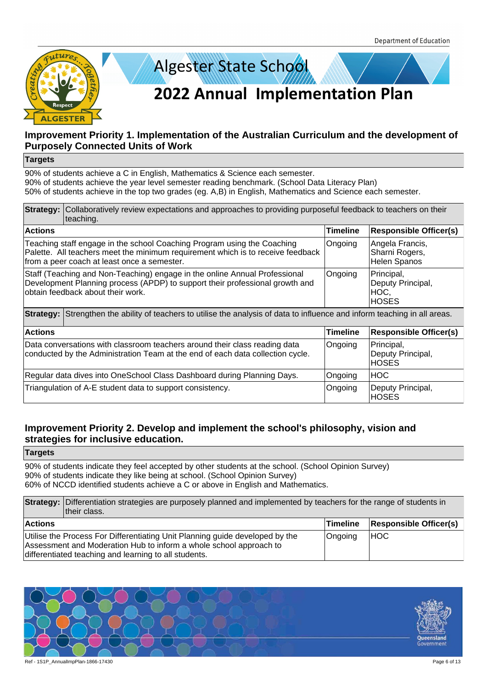



#### **Targets**

90% of students achieve a C in English, Mathematics & Science each semester. 90% of students achieve the year level semester reading benchmark. (School Data Literacy Plan) 50% of students achieve in the top two grades (eg. A,B) in English, Mathematics and Science each semester.

|                | <b>Strategy:</b> Collaboratively review expectations and approaches to providing purposeful feedback to teachers on their<br>teaching.                                                                    |                 |                                                         |  |
|----------------|-----------------------------------------------------------------------------------------------------------------------------------------------------------------------------------------------------------|-----------------|---------------------------------------------------------|--|
| <b>Actions</b> |                                                                                                                                                                                                           | Timeline        | <b>Responsible Officer(s)</b>                           |  |
|                | Teaching staff engage in the school Coaching Program using the Coaching<br>Palette. All teachers meet the minimum requirement which is to receive feedback<br>from a peer coach at least once a semester. | Ongoing         | Angela Francis,<br>Sharni Rogers,<br>Helen Spanos       |  |
|                | Staff (Teaching and Non-Teaching) engage in the online Annual Professional<br>Development Planning process (APDP) to support their professional growth and<br>obtain feedback about their work.           | Ongoing         | Principal,<br>Deputy Principal,<br>HOC,<br><b>HOSES</b> |  |
|                | <b>Strategy:</b> Strengthen the ability of teachers to utilise the analysis of data to influence and inform teaching in all areas.                                                                        |                 |                                                         |  |
| <b>Actions</b> |                                                                                                                                                                                                           | <b>Timeline</b> | <b>Responsible Officer(s)</b>                           |  |
|                | Data conversations with classroom teachers around their class reading data<br>conducted by the Administration Team at the end of each data collection cycle.                                              | Ongoing         | Principal,<br>Deputy Principal,<br><b>HOSES</b>         |  |
|                | Regular data dives into OneSchool Class Dashboard during Planning Days.                                                                                                                                   | Ongoing         | <b>HOC</b>                                              |  |
|                | Triangulation of A-E student data to support consistency.                                                                                                                                                 | Ongoing         | Deputy Principal,<br><b>HOSES</b>                       |  |

### **Improvement Priority 2. Develop and implement the school's philosophy, vision and strategies for inclusive education.**

**Targets**

90% of students indicate they feel accepted by other students at the school. (School Opinion Survey) 90% of students indicate they like being at school. (School Opinion Survey) 60% of NCCD identified students achieve a C or above in English and Mathematics.

**Strategy:** Differentiation strategies are purposely planned and implemented by teachers for the range of students in their class. **Actions Timeline Responsible Officer(s)** Utilise the Process For Differentiating Unit Planning guide developed by the Assessment and Moderation Hub to inform a whole school approach to differentiated teaching and learning to all students. Ongoing HOC

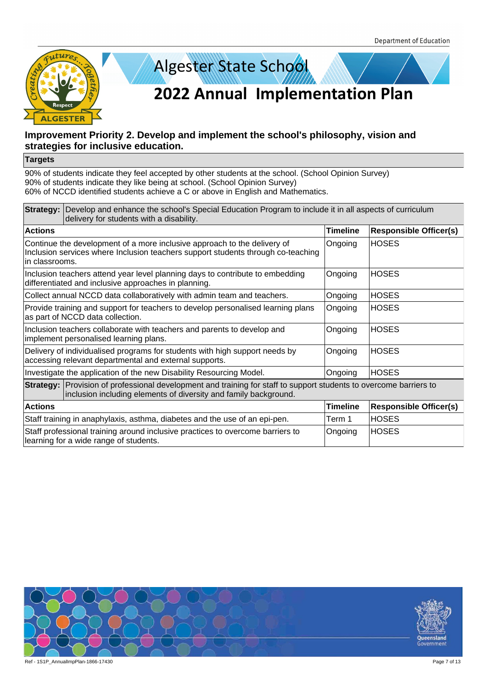



#### **Targets**

| Strategy: Develop and enhance the school's Special Education Program to include it in all aspects of curriculum<br>delivery for students with a disability.                            |                                                                                                                                                              |                 |                               |
|----------------------------------------------------------------------------------------------------------------------------------------------------------------------------------------|--------------------------------------------------------------------------------------------------------------------------------------------------------------|-----------------|-------------------------------|
| <b>Actions</b>                                                                                                                                                                         |                                                                                                                                                              | Timeline        | <b>Responsible Officer(s)</b> |
| in classrooms.                                                                                                                                                                         | Continue the development of a more inclusive approach to the delivery of<br>Inclusion services where Inclusion teachers support students through co-teaching | Ongoing         | <b>HOSES</b>                  |
|                                                                                                                                                                                        | Inclusion teachers attend year level planning days to contribute to embedding<br>differentiated and inclusive approaches in planning.                        | Ongoing         | <b>HOSES</b>                  |
|                                                                                                                                                                                        | Collect annual NCCD data collaboratively with admin team and teachers.                                                                                       | Ongoing         | <b>HOSES</b>                  |
|                                                                                                                                                                                        | Provide training and support for teachers to develop personalised learning plans<br>as part of NCCD data collection.                                         | Ongoing         | <b>HOSES</b>                  |
| Inclusion teachers collaborate with teachers and parents to develop and<br>implement personalised learning plans.                                                                      |                                                                                                                                                              | Ongoing         | <b>HOSES</b>                  |
| Delivery of individualised programs for students with high support needs by<br>accessing relevant departmental and external supports.                                                  |                                                                                                                                                              | Ongoing         | <b>HOSES</b>                  |
|                                                                                                                                                                                        | Investigate the application of the new Disability Resourcing Model.                                                                                          | Ongoing         | <b>HOSES</b>                  |
| Strategy: Provision of professional development and training for staff to support students to overcome barriers to<br>inclusion including elements of diversity and family background. |                                                                                                                                                              |                 |                               |
| <b>Actions</b>                                                                                                                                                                         |                                                                                                                                                              | <b>Timeline</b> | <b>Responsible Officer(s)</b> |
|                                                                                                                                                                                        | Staff training in anaphylaxis, asthma, diabetes and the use of an epi-pen.                                                                                   | Term 1          | <b>HOSES</b>                  |
|                                                                                                                                                                                        | Staff professional training around inclusive practices to overcome barriers to<br>learning for a wide range of students.                                     | Ongoing         | <b>HOSES</b>                  |

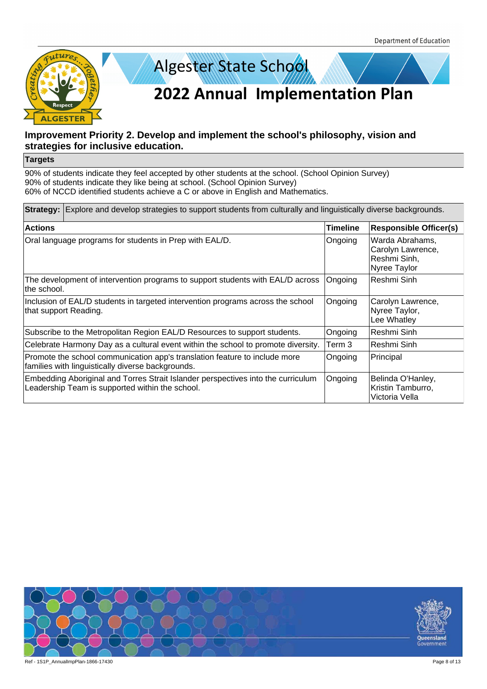



#### **Targets**

| <b>Strategy:</b> Explore and develop strategies to support students from culturally and linguistically diverse backgrounds.         |                 |                                                                      |  |
|-------------------------------------------------------------------------------------------------------------------------------------|-----------------|----------------------------------------------------------------------|--|
| <b>Actions</b>                                                                                                                      | <b>Timeline</b> | <b>Responsible Officer(s)</b>                                        |  |
| Oral language programs for students in Prep with EAL/D.                                                                             | Ongoing         | Warda Abrahams,<br>Carolyn Lawrence,<br>Reshmi Sinh,<br>Nyree Taylor |  |
| The development of intervention programs to support students with EAL/D across<br>the school.                                       | Ongoing         | Reshmi Sinh                                                          |  |
| Inclusion of EAL/D students in targeted intervention programs across the school<br>that support Reading.                            | Ongoing         | Carolyn Lawrence,<br>Nyree Taylor,<br>Lee Whatley                    |  |
| Subscribe to the Metropolitan Region EAL/D Resources to support students.                                                           | Ongoing         | Reshmi Sinh                                                          |  |
| Celebrate Harmony Day as a cultural event within the school to promote diversity.                                                   | Term 3          | Reshmi Sinh                                                          |  |
| Promote the school communication app's translation feature to include more<br>families with linguistically diverse backgrounds.     | Ongoing         | Principal                                                            |  |
| Embedding Aboriginal and Torres Strait Islander perspectives into the curriculum<br>Leadership Team is supported within the school. | Ongoing         | Belinda O'Hanley,<br>Kristin Tamburro,<br>Victoria Vella             |  |

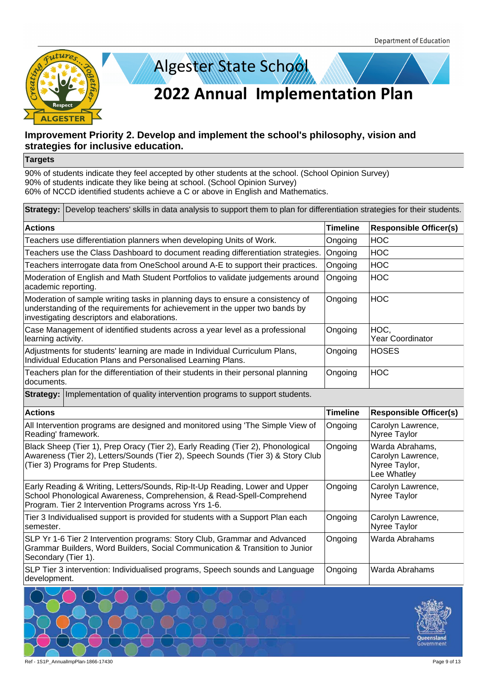



#### **Targets**

| Strategy: Develop teachers' skills in data analysis to support them to plan for differentiation strategies for their students.                                                                                |                 |                                                                      |  |
|---------------------------------------------------------------------------------------------------------------------------------------------------------------------------------------------------------------|-----------------|----------------------------------------------------------------------|--|
| <b>Actions</b>                                                                                                                                                                                                | <b>Timeline</b> | <b>Responsible Officer(s)</b>                                        |  |
| Teachers use differentiation planners when developing Units of Work.                                                                                                                                          | Ongoing         | <b>HOC</b>                                                           |  |
| Teachers use the Class Dashboard to document reading differentiation strategies.                                                                                                                              | Ongoing         | <b>HOC</b>                                                           |  |
| Teachers interrogate data from OneSchool around A-E to support their practices.                                                                                                                               | Ongoing         | <b>HOC</b>                                                           |  |
| Moderation of English and Math Student Portfolios to validate judgements around<br>academic reporting.                                                                                                        | Ongoing         | <b>HOC</b>                                                           |  |
| Moderation of sample writing tasks in planning days to ensure a consistency of<br>understanding of the requirements for achievement in the upper two bands by<br>investigating descriptors and elaborations.  | Ongoing         | <b>HOC</b>                                                           |  |
| Case Management of identified students across a year level as a professional<br>learning activity.                                                                                                            | Ongoing         | HOC,<br><b>Year Coordinator</b>                                      |  |
| Adjustments for students' learning are made in Individual Curriculum Plans,<br>Individual Education Plans and Personalised Learning Plans.                                                                    | Ongoing         | <b>HOSES</b>                                                         |  |
| Teachers plan for the differentiation of their students in their personal planning<br>documents.                                                                                                              | Ongoing         | <b>HOC</b>                                                           |  |
| <b>Strategy: Implementation of quality intervention programs to support students.</b>                                                                                                                         |                 |                                                                      |  |
| <b>Actions</b>                                                                                                                                                                                                | <b>Timeline</b> | <b>Responsible Officer(s)</b>                                        |  |
| All Intervention programs are designed and monitored using 'The Simple View of<br>Reading' framework.                                                                                                         | Ongoing         | Carolyn Lawrence,<br>Nyree Taylor                                    |  |
| Black Sheep (Tier 1), Prep Oracy (Tier 2), Early Reading (Tier 2), Phonological<br>Awareness (Tier 2), Letters/Sounds (Tier 2), Speech Sounds (Tier 3) & Story Club<br>(Tier 3) Programs for Prep Students.   | Ongoing         | Warda Abrahams,<br>Carolyn Lawrence,<br>Nyree Taylor,<br>Lee Whatley |  |
| Early Reading & Writing, Letters/Sounds, Rip-It-Up Reading, Lower and Upper<br>School Phonological Awareness, Comprehension, & Read-Spell-Comprehend<br>Program. Tier 2 Intervention Programs across Yrs 1-6. | Ongoing         | Carolyn Lawrence,<br>Nyree Taylor                                    |  |
| Tier 3 Individualised support is provided for students with a Support Plan each<br>semester.                                                                                                                  | Ongoing         | Carolyn Lawrence,<br>Nyree Taylor                                    |  |
| SLP Yr 1-6 Tier 2 Intervention programs: Story Club, Grammar and Advanced<br>Grammar Builders, Word Builders, Social Communication & Transition to Junior<br>Secondary (Tier 1).                              | Ongoing         | Warda Abrahams                                                       |  |
| SLP Tier 3 intervention: Individualised programs, Speech sounds and Language<br>development.                                                                                                                  | Ongoing         | Warda Abrahams                                                       |  |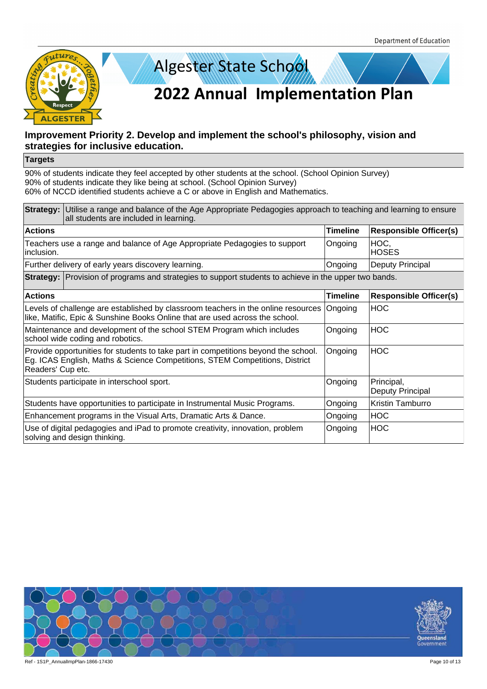



#### **Targets**

|                   | <b>Strategy:</b> Utilise a range and balance of the Age Appropriate Pedagogies approach to teaching and learning to ensure<br>all students are included in learning. |                 |                                |
|-------------------|----------------------------------------------------------------------------------------------------------------------------------------------------------------------|-----------------|--------------------------------|
| <b>Actions</b>    |                                                                                                                                                                      | <b>Timeline</b> | <b>Responsible Officer(s)</b>  |
| inclusion.        | Teachers use a range and balance of Age Appropriate Pedagogies to support                                                                                            | Ongoing         | HOC,<br><b>HOSES</b>           |
|                   | Further delivery of early years discovery learning.                                                                                                                  | Ongoing         | Deputy Principal               |
|                   | <b>Strategy:</b> Provision of programs and strategies to support students to achieve in the upper two bands.                                                         |                 |                                |
| <b>Actions</b>    |                                                                                                                                                                      | <b>Timeline</b> | <b>Responsible Officer(s)</b>  |
|                   | Levels of challenge are established by classroom teachers in the online resources<br>like, Matific, Epic & Sunshine Books Online that are used across the school.    | Ongoing         | <b>HOC</b>                     |
|                   | Maintenance and development of the school STEM Program which includes<br>school wide coding and robotics.                                                            | Ongoing         | <b>HOC</b>                     |
| Readers' Cup etc. | Provide opportunities for students to take part in competitions beyond the school.<br>Eg. ICAS English, Maths & Science Competitions, STEM Competitions, District    | Ongoing         | <b>HOC</b>                     |
|                   | Students participate in interschool sport.                                                                                                                           | Ongoing         | Principal,<br>Deputy Principal |
|                   | Students have opportunities to participate in Instrumental Music Programs.                                                                                           | Ongoing         | Kristin Tamburro               |
|                   | Enhancement programs in the Visual Arts, Dramatic Arts & Dance.                                                                                                      | Ongoing         | <b>HOC</b>                     |
|                   | Use of digital pedagogies and iPad to promote creativity, innovation, problem<br>solving and design thinking.                                                        | Ongoing         | <b>HOC</b>                     |

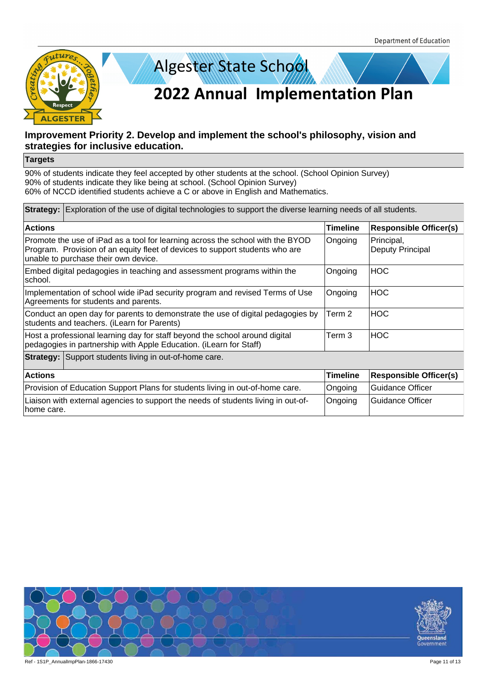



#### **Targets**

| <b>Strategy:</b> Exploration of the use of digital technologies to support the diverse learning needs of all students.                                                                                 |                 |                                |  |
|--------------------------------------------------------------------------------------------------------------------------------------------------------------------------------------------------------|-----------------|--------------------------------|--|
| <b>Actions</b>                                                                                                                                                                                         | <b>Timeline</b> | <b>Responsible Officer(s)</b>  |  |
| Promote the use of iPad as a tool for learning across the school with the BYOD<br>Program. Provision of an equity fleet of devices to support students who are<br>unable to purchase their own device. | Ongoing         | Principal,<br>Deputy Principal |  |
| Embed digital pedagogies in teaching and assessment programs within the<br>school.                                                                                                                     | Ongoing         | HOC                            |  |
| Implementation of school wide iPad security program and revised Terms of Use<br>Agreements for students and parents.                                                                                   | Ongoing         | <b>HOC</b>                     |  |
| Conduct an open day for parents to demonstrate the use of digital pedagogies by<br>students and teachers. (iLearn for Parents)                                                                         | Term 2          | HOC                            |  |
| Term 3<br><b>HOC</b><br>Host a professional learning day for staff beyond the school around digital<br>pedagogies in partnership with Apple Education. (iLearn for Staff)                              |                 |                                |  |
| <b>Strategy:</b> Support students living in out-of-home care.                                                                                                                                          |                 |                                |  |
| <b>Actions</b>                                                                                                                                                                                         | <b>Timeline</b> | <b>Responsible Officer(s)</b>  |  |
| Provision of Education Support Plans for students living in out-of-home care.                                                                                                                          | Ongoing         | Guidance Officer               |  |
| Liaison with external agencies to support the needs of students living in out-of-<br>home care.                                                                                                        | Ongoing         | Guidance Officer               |  |

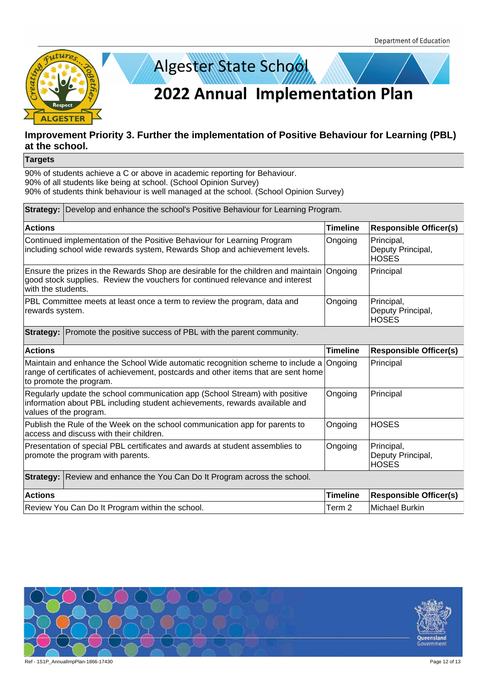

# **Improvement Priority 3. Further the implementation of Positive Behaviour for Learning (PBL) at the school.**

**Targets**

90% of students achieve a C or above in academic reporting for Behaviour. 90% of all students like being at school. (School Opinion Survey) 90% of students think behaviour is well managed at the school. (School Opinion Survey)

| Strategy: Develop and enhance the school's Positive Behaviour for Learning Program. |                                                                                                                                                                                                 |                 |                                                 |
|-------------------------------------------------------------------------------------|-------------------------------------------------------------------------------------------------------------------------------------------------------------------------------------------------|-----------------|-------------------------------------------------|
| <b>Actions</b>                                                                      |                                                                                                                                                                                                 | <b>Timeline</b> | <b>Responsible Officer(s)</b>                   |
|                                                                                     | Continued implementation of the Positive Behaviour for Learning Program<br>including school wide rewards system, Rewards Shop and achievement levels.                                           | Ongoing         | Principal,<br>Deputy Principal,<br><b>HOSES</b> |
| with the students.                                                                  | Ensure the prizes in the Rewards Shop are desirable for the children and maintain<br>good stock supplies. Review the vouchers for continued relevance and interest                              | Ongoing         | Principal                                       |
| rewards system.                                                                     | PBL Committee meets at least once a term to review the program, data and                                                                                                                        | Ongoing         | Principal,<br>Deputy Principal,<br><b>HOSES</b> |
|                                                                                     | <b>Strategy:</b> Promote the positive success of PBL with the parent community.                                                                                                                 |                 |                                                 |
| <b>Actions</b>                                                                      |                                                                                                                                                                                                 | <b>Timeline</b> | <b>Responsible Officer(s)</b>                   |
|                                                                                     | Maintain and enhance the School Wide automatic recognition scheme to include a<br>range of certificates of achievement, postcards and other items that are sent home<br>to promote the program. | Ongoing         | Principal                                       |
|                                                                                     | Regularly update the school communication app (School Stream) with positive<br>information about PBL including student achievements, rewards available and<br>values of the program.            | Ongoing         | Principal                                       |
|                                                                                     | Publish the Rule of the Week on the school communication app for parents to<br>access and discuss with their children.                                                                          | Ongoing         | <b>HOSES</b>                                    |
|                                                                                     | Presentation of special PBL certificates and awards at student assemblies to<br>promote the program with parents.                                                                               | Ongoing         | Principal,<br>Deputy Principal,<br><b>HOSES</b> |
| <b>Strategy:</b> Review and enhance the You Can Do It Program across the school.    |                                                                                                                                                                                                 |                 |                                                 |
| <b>Actions</b>                                                                      |                                                                                                                                                                                                 | <b>Timeline</b> | <b>Responsible Officer(s)</b>                   |
|                                                                                     | Review You Can Do It Program within the school.                                                                                                                                                 | Term 2          | <b>Michael Burkin</b>                           |